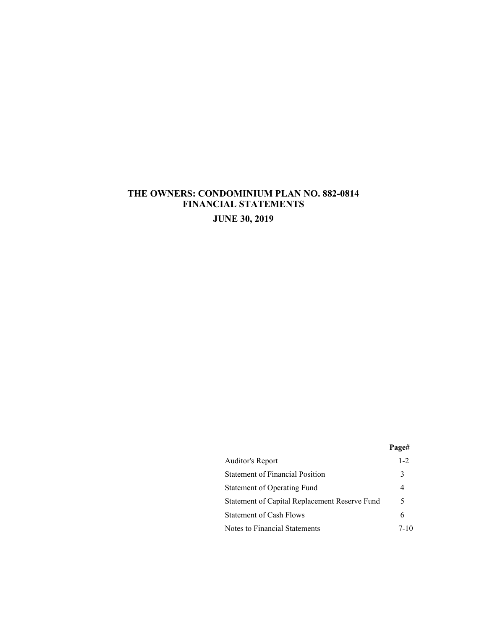# **THE OWNERS: CONDOMINIUM PLAN NO. 882-0814 FINANCIAL STATEMENTS**

**JUNE 30, 2019**

|                                               | Page#   |
|-----------------------------------------------|---------|
| Auditor's Report                              | $1 - 2$ |
| <b>Statement of Financial Position</b>        | 3       |
| <b>Statement of Operating Fund</b>            | 4       |
| Statement of Capital Replacement Reserve Fund | 5       |
| Statement of Cash Flows                       | 6       |
| Notes to Financial Statements                 | 7-10    |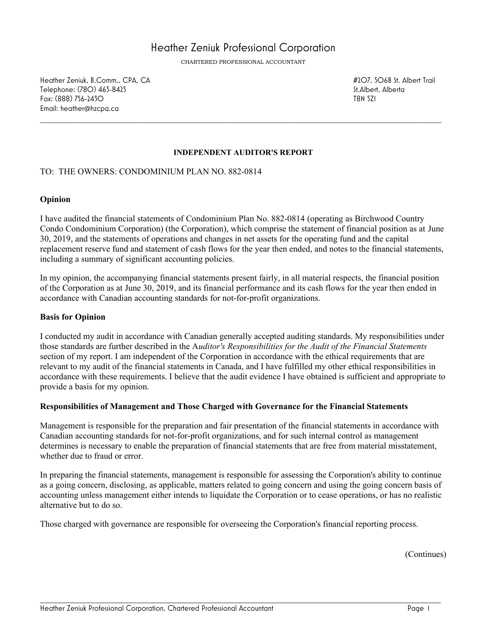# Heather Zeniuk Professional Corporation

CHARTERED PROFESSIONAL ACCOUNTANT

Heather Zeniuk, B.Comm., CPA, CA #207, 506B St. Albert Trail Telephone: (780) 463-8425 St.Alberta and the state of the state of the state of the St.Alberta and St.Alberta and St.Alberta and St.Alberta and St.Alberta and St.Alberta and St.Alberta and St.Alberta and St.Alberta and St. Fax: (888) 756-2430 T8N 5Z1 Email: heather@hzcpa.ca

#### **INDEPENDENT AUDITOR'S REPORT**

 $\mathcal{L}_\mathcal{L} = \mathcal{L}_\mathcal{L} = \mathcal{L}_\mathcal{L} = \mathcal{L}_\mathcal{L} = \mathcal{L}_\mathcal{L} = \mathcal{L}_\mathcal{L} = \mathcal{L}_\mathcal{L} = \mathcal{L}_\mathcal{L} = \mathcal{L}_\mathcal{L} = \mathcal{L}_\mathcal{L} = \mathcal{L}_\mathcal{L} = \mathcal{L}_\mathcal{L} = \mathcal{L}_\mathcal{L} = \mathcal{L}_\mathcal{L} = \mathcal{L}_\mathcal{L} = \mathcal{L}_\mathcal{L} = \mathcal{L}_\mathcal{L}$ 

### TO: THE OWNERS: CONDOMINIUM PLAN NO. 882-0814

#### **Opinion**

I have audited the financial statements of Condominium Plan No. 882-0814 (operating as Birchwood Country Condo Condominium Corporation) (the Corporation), which comprise the statement of financial position as at June 30, 2019, and the statements of operations and changes in net assets for the operating fund and the capital replacement reserve fund and statement of cash flows for the year then ended, and notes to the financial statements, including a summary of significant accounting policies.

In my opinion, the accompanying financial statements present fairly, in all material respects, the financial position of the Corporation as at June 30, 2019, and its financial performance and its cash flows for the year then ended in accordance with Canadian accounting standards for not-for-profit organizations.

#### **Basis for Opinion**

I conducted my audit in accordance with Canadian generally accepted auditing standards. My responsibilities under those standards are further described in the A*uditor's Responsibilities for the Audit of the Financial Statements* section of my report. I am independent of the Corporation in accordance with the ethical requirements that are relevant to my audit of the financial statements in Canada, and I have fulfilled my other ethical responsibilities in accordance with these requirements. I believe that the audit evidence I have obtained is sufficient and appropriate to provide a basis for my opinion.

#### **Responsibilities of Management and Those Charged with Governance for the Financial Statements**

Management is responsible for the preparation and fair presentation of the financial statements in accordance with Canadian accounting standards for not-for-profit organizations, and for such internal control as management determines is necessary to enable the preparation of financial statements that are free from material misstatement, whether due to fraud or error.

In preparing the financial statements, management is responsible for assessing the Corporation's ability to continue as a going concern, disclosing, as applicable, matters related to going concern and using the going concern basis of accounting unless management either intends to liquidate the Corporation or to cease operations, or has no realistic alternative but to do so.

Those charged with governance are responsible for overseeing the Corporation's financial reporting process.

(Continues)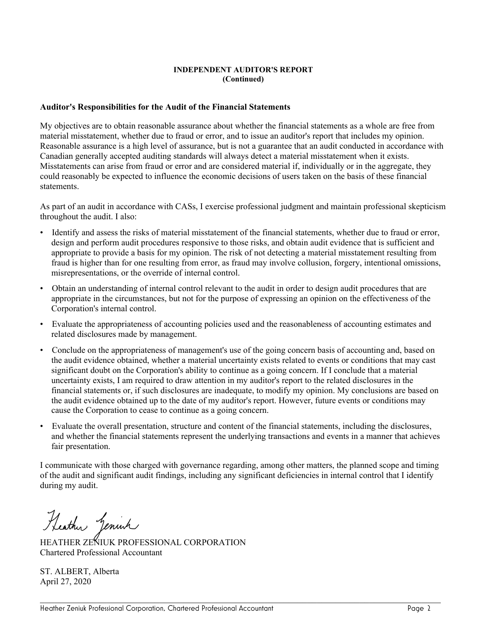#### **INDEPENDENT AUDITOR'S REPORT (Continued)**

#### **Auditor's Responsibilities for the Audit of the Financial Statements**

My objectives are to obtain reasonable assurance about whether the financial statements as a whole are free from material misstatement, whether due to fraud or error, and to issue an auditor's report that includes my opinion. Reasonable assurance is a high level of assurance, but is not a guarantee that an audit conducted in accordance with Canadian generally accepted auditing standards will always detect a material misstatement when it exists. Misstatements can arise from fraud or error and are considered material if, individually or in the aggregate, they could reasonably be expected to influence the economic decisions of users taken on the basis of these financial statements.

As part of an audit in accordance with CASs, I exercise professional judgment and maintain professional skepticism throughout the audit. I also:

- Identify and assess the risks of material misstatement of the financial statements, whether due to fraud or error, design and perform audit procedures responsive to those risks, and obtain audit evidence that is sufficient and appropriate to provide a basis for my opinion. The risk of not detecting a material misstatement resulting from fraud is higher than for one resulting from error, as fraud may involve collusion, forgery, intentional omissions, misrepresentations, or the override of internal control.
- Obtain an understanding of internal control relevant to the audit in order to design audit procedures that are appropriate in the circumstances, but not for the purpose of expressing an opinion on the effectiveness of the Corporation's internal control.
- Evaluate the appropriateness of accounting policies used and the reasonableness of accounting estimates and related disclosures made by management.
- Conclude on the appropriateness of management's use of the going concern basis of accounting and, based on the audit evidence obtained, whether a material uncertainty exists related to events or conditions that may cast significant doubt on the Corporation's ability to continue as a going concern. If I conclude that a material uncertainty exists, I am required to draw attention in my auditor's report to the related disclosures in the financial statements or, if such disclosures are inadequate, to modify my opinion. My conclusions are based on the audit evidence obtained up to the date of my auditor's report. However, future events or conditions may cause the Corporation to cease to continue as a going concern.
- Evaluate the overall presentation, structure and content of the financial statements, including the disclosures, and whether the financial statements represent the underlying transactions and events in a manner that achieves fair presentation.

I communicate with those charged with governance regarding, among other matters, the planned scope and timing of the audit and significant audit findings, including any significant deficiencies in internal control that I identify during my audit.

Heather Jenich

HEATHER ZENIUK PROFESSIONAL CORPORATION Chartered Professional Accountant

ST. ALBERT, Alberta April 27, 2020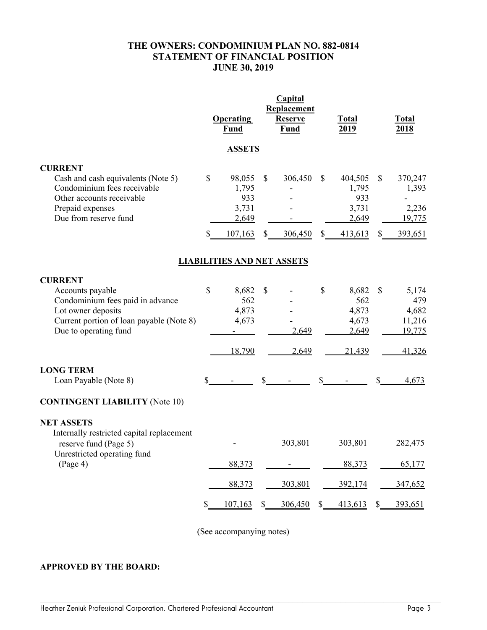# **THE OWNERS: CONDOMINIUM PLAN NO. 882-0814 STATEMENT OF FINANCIAL POSITION JUNE 30, 2019**

|                   | <b>Fund</b>                                                |                            | Capital<br><b>Reserve</b><br><b>Fund</b> |                                              | <b>Total</b><br>2019                                 |          | <b>Total</b><br>2018                                |
|-------------------|------------------------------------------------------------|----------------------------|------------------------------------------|----------------------------------------------|------------------------------------------------------|----------|-----------------------------------------------------|
|                   |                                                            |                            |                                          |                                              |                                                      |          |                                                     |
| \$<br>\$          | 98,055<br>1,795<br>933<br>3,731<br>2,649<br><u>107,163</u> | <sup>\$</sup><br>\$        | 306,450<br>306,450                       | \$<br>\$                                     | 404,505<br>1,795<br>933<br>3,731<br>2,649<br>413,613 | \$<br>\$ | 370,247<br>1,393<br>2,236<br>19,775<br>393,651      |
|                   |                                                            |                            |                                          |                                              |                                                      |          |                                                     |
| \$                | 8,682<br>562<br>4,873<br>4,673<br>18,790                   | $\boldsymbol{\mathsf{S}}$  | 2,649<br>2,649                           | $\mathbb{S}$                                 | 8,682<br>562<br>4,873<br>4,673<br>2,649<br>21,439    | \$       | 5,174<br>479<br>4,682<br>11,216<br>19,775<br>41,326 |
| \$                |                                                            | $\mathbb{S}$               |                                          | $\mathbb{S}$                                 |                                                      | \$       | 4,673                                               |
|                   |                                                            |                            |                                          |                                              |                                                      |          |                                                     |
|                   | 88,373                                                     |                            | 303,801                                  |                                              | 303,801<br>88,373                                    |          | 282,475<br>65,177<br>347,652                        |
| $\mathcal{S}_{-}$ | 107,163                                                    | \$                         | 306,450                                  | S                                            | 413,613                                              | \$       | 393,651                                             |
|                   |                                                            | <b>Operating</b><br>88,373 | <b>ASSETS</b>                            | <b>LIABILITIES AND NET ASSETS</b><br>303,801 | Replacement                                          | 392,174  |                                                     |

(See accompanying notes)

## **APPROVED BY THE BOARD:**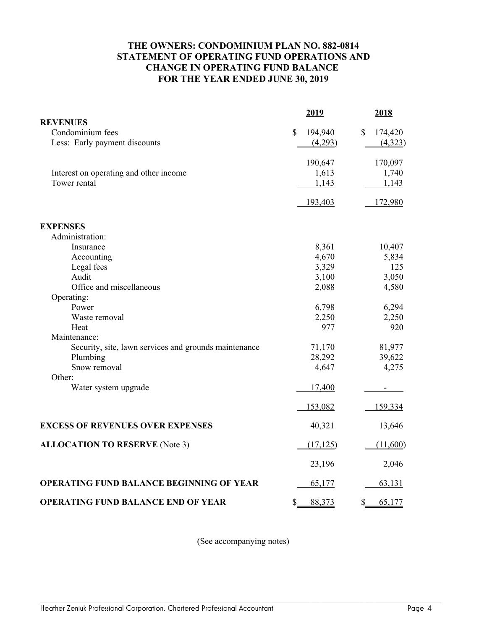# **THE OWNERS: CONDOMINIUM PLAN NO. 882-0814 STATEMENT OF OPERATING FUND OPERATIONS AND CHANGE IN OPERATING FUND BALANCE FOR THE YEAR ENDED JUNE 30, 2019**

|                                                                   | 2019                    | 2018                     |
|-------------------------------------------------------------------|-------------------------|--------------------------|
| <b>REVENUES</b>                                                   |                         |                          |
| Condominium fees                                                  | $\mathbb{S}$<br>194,940 | $\mathbb{S}$<br>174,420  |
| Less: Early payment discounts                                     | (4,293)                 | (4,323)                  |
|                                                                   | 190,647                 | 170,097                  |
| Interest on operating and other income                            | 1,613                   | 1,740                    |
| Tower rental                                                      | 1,143                   | 1,143                    |
|                                                                   | 193,403                 | 172,980                  |
| <b>EXPENSES</b>                                                   |                         |                          |
| Administration:                                                   |                         |                          |
| Insurance                                                         | 8,361                   | 10,407                   |
| Accounting                                                        | 4,670                   | 5,834                    |
| Legal fees                                                        | 3,329                   | 125                      |
| Audit                                                             | 3,100                   | 3,050                    |
| Office and miscellaneous                                          | 2,088                   | 4,580                    |
| Operating:                                                        |                         |                          |
| Power                                                             | 6,798                   | 6,294                    |
| Waste removal                                                     | 2,250                   | 2,250                    |
| Heat<br>Maintenance:                                              | 977                     | 920                      |
|                                                                   |                         |                          |
| Security, site, lawn services and grounds maintenance<br>Plumbing | 71,170<br>28,292        | 81,977<br>39,622         |
| Snow removal                                                      | 4,647                   | 4,275                    |
| Other:                                                            |                         |                          |
| Water system upgrade                                              | 17,400                  | $\overline{\phantom{a}}$ |
|                                                                   |                         |                          |
|                                                                   | 153,082                 | 159,334                  |
| <b>EXCESS OF REVENUES OVER EXPENSES</b>                           | 40,321                  | 13,646                   |
| <b>ALLOCATION TO RESERVE (Note 3)</b>                             | (17, 125)               | (11,600)                 |
|                                                                   | 23,196                  | 2,046                    |
| OPERATING FUND BALANCE BEGINNING OF YEAR                          | 65,177                  | 63,131                   |
| <b>OPERATING FUND BALANCE END OF YEAR</b>                         | \$<br>88,373            | \$<br>65,177             |

(See accompanying notes)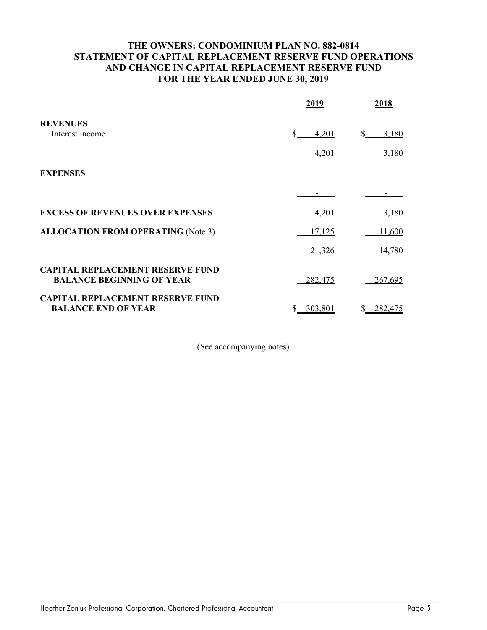# **THE OWNERS: CONDOMINIUM PLAN NO. 882-0814 STATEMENT OF CAPITAL REPLACEMENT RESERVE FUND OPERATIONS AND CHANGE IN CAPITAL REPLACEMENT RESERVE FUND FOR THE YEAR ENDED JUNE 30, 2019**

|                                                                             | 2019        | 2018         |
|-----------------------------------------------------------------------------|-------------|--------------|
| <b>REVENUES</b><br>Interest income                                          | \$<br>4,201 | \$.<br>3,180 |
|                                                                             | 4,201       | 3,180        |
|                                                                             |             |              |
| <b>EXPENSES</b>                                                             |             |              |
|                                                                             |             |              |
| <b>EXCESS OF REVENUES OVER EXPENSES</b>                                     | 4,201       | 3,180        |
| <b>ALLOCATION FROM OPERATING (Note 3)</b>                                   | 17,125      | 11,600       |
|                                                                             | 21,326      | 14,780       |
| <b>CAPITAL REPLACEMENT RESERVE FUND</b><br><b>BALANCE BEGINNING OF YEAR</b> | 282,475     | 267,695      |
| <b>CAPITAL REPLACEMENT RESERVE FUND</b><br><b>BALANCE END OF YEAR</b>       | 303,801     | 282,475      |

(See accompanying notes)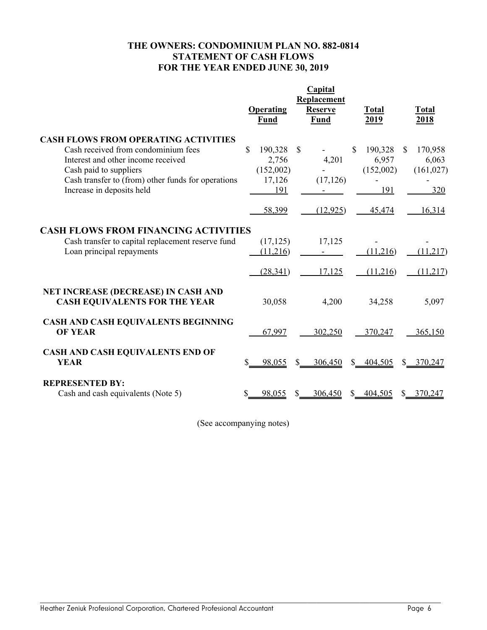# **THE OWNERS: CONDOMINIUM PLAN NO. 882-0814 STATEMENT OF CASH FLOWS FOR THE YEAR ENDED JUNE 30, 2019**

|                                                                              | Operating<br>Fund       | Replacement<br><b>Reserve</b><br><b>Fund</b> | <b>Total</b><br>2019 | <b>Total</b><br>2018 |
|------------------------------------------------------------------------------|-------------------------|----------------------------------------------|----------------------|----------------------|
| <b>CASH FLOWS FROM OPERATING ACTIVITIES</b>                                  |                         |                                              |                      |                      |
| Cash received from condominium fees                                          | $\mathbb{S}$<br>190,328 | <sup>\$</sup>                                | 190,328<br>\$.       | 170,958<br>\$.       |
| Interest and other income received                                           | 2,756                   | 4,201                                        | 6,957                | 6,063                |
| Cash paid to suppliers<br>Cash transfer to (from) other funds for operations | (152,002)<br>17,126     | (17, 126)                                    | (152,002)            | (161, 027)           |
| Increase in deposits held                                                    | 191                     |                                              | 191                  | 320                  |
|                                                                              | 58,399                  | (12, 925)                                    | 45,474               | 16,314               |
| <b>CASH FLOWS FROM FINANCING ACTIVITIES</b>                                  |                         |                                              |                      |                      |
| Cash transfer to capital replacement reserve fund                            | (17, 125)               | 17,125                                       |                      |                      |
| Loan principal repayments                                                    | (11,216)                |                                              | (11,216)             | (11,217)             |
|                                                                              | (28, 341)               | 17,125                                       | (11,216)             | (11,217)             |
| NET INCREASE (DECREASE) IN CASH AND<br><b>CASH EQUIVALENTS FOR THE YEAR</b>  | 30,058                  | 4,200                                        | 34,258               | 5,097                |
| CASH AND CASH EQUIVALENTS BEGINNING<br><b>OF YEAR</b>                        | 67,997                  | 302,250                                      | 370,247              | 365,150              |
| <b>CASH AND CASH EQUIVALENTS END OF</b><br><b>YEAR</b>                       | \$<br>98,055            | 306,450<br>$\mathbf S$                       | \$404,505            | \$370,247            |
| <b>REPRESENTED BY:</b><br>Cash and cash equivalents (Note 5)                 | 98,055                  | 306,450                                      | 404,505              | 370,247              |

(See accompanying notes)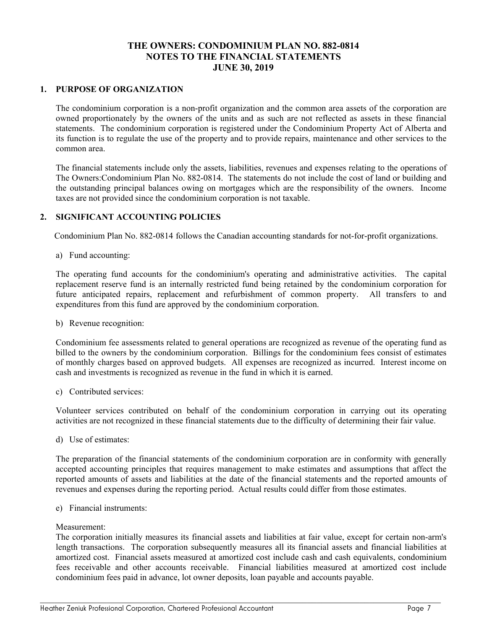## **1. PURPOSE OF ORGANIZATION**

The condominium corporation is a non-profit organization and the common area assets of the corporation are owned proportionately by the owners of the units and as such are not reflected as assets in these financial statements. The condominium corporation is registered under the Condominium Property Act of Alberta and its function is to regulate the use of the property and to provide repairs, maintenance and other services to the common area.

The financial statements include only the assets, liabilities, revenues and expenses relating to the operations of The Owners:Condominium Plan No. 882-0814. The statements do not include the cost of land or building and the outstanding principal balances owing on mortgages which are the responsibility of the owners. Income taxes are not provided since the condominium corporation is not taxable.

### **2. SIGNIFICANT ACCOUNTING POLICIES**

Condominium Plan No. 882-0814 follows the Canadian accounting standards for not-for-profit organizations.

a) Fund accounting:

The operating fund accounts for the condominium's operating and administrative activities. The capital replacement reserve fund is an internally restricted fund being retained by the condominium corporation for future anticipated repairs, replacement and refurbishment of common property. All transfers to and expenditures from this fund are approved by the condominium corporation.

### b) Revenue recognition:

Condominium fee assessments related to general operations are recognized as revenue of the operating fund as billed to the owners by the condominium corporation. Billings for the condominium fees consist of estimates of monthly charges based on approved budgets. All expenses are recognized as incurred. Interest income on cash and investments is recognized as revenue in the fund in which it is earned.

c) Contributed services:

Volunteer services contributed on behalf of the condominium corporation in carrying out its operating activities are not recognized in these financial statements due to the difficulty of determining their fair value.

d) Use of estimates:

The preparation of the financial statements of the condominium corporation are in conformity with generally accepted accounting principles that requires management to make estimates and assumptions that affect the reported amounts of assets and liabilities at the date of the financial statements and the reported amounts of revenues and expenses during the reporting period. Actual results could differ from those estimates.

e) Financial instruments:

#### Measurement:

The corporation initially measures its financial assets and liabilities at fair value, except for certain non-arm's length transactions. The corporation subsequently measures all its financial assets and financial liabilities at amortized cost. Financial assets measured at amortized cost include cash and cash equivalents, condominium fees receivable and other accounts receivable. Financial liabilities measured at amortized cost include condominium fees paid in advance, lot owner deposits, loan payable and accounts payable.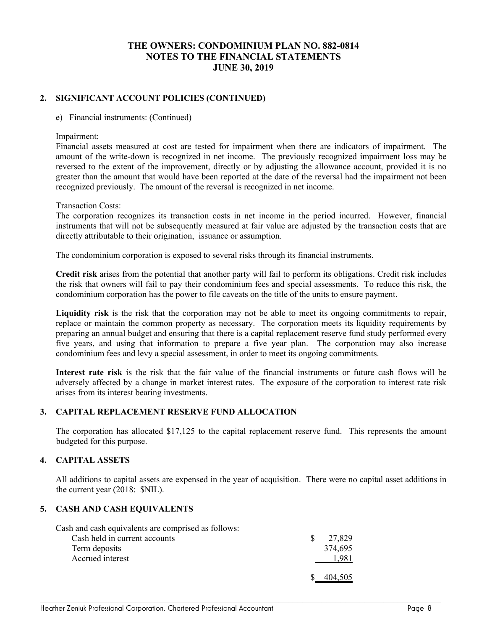# **2. SIGNIFICANT ACCOUNT POLICIES (CONTINUED)**

e) Financial instruments: (Continued)

Impairment:

Financial assets measured at cost are tested for impairment when there are indicators of impairment. The amount of the write-down is recognized in net income. The previously recognized impairment loss may be reversed to the extent of the improvement, directly or by adjusting the allowance account, provided it is no greater than the amount that would have been reported at the date of the reversal had the impairment not been recognized previously. The amount of the reversal is recognized in net income.

Transaction Costs:

The corporation recognizes its transaction costs in net income in the period incurred. However, financial instruments that will not be subsequently measured at fair value are adjusted by the transaction costs that are directly attributable to their origination, issuance or assumption.

The condominium corporation is exposed to several risks through its financial instruments.

**Credit risk** arises from the potential that another party will fail to perform its obligations. Credit risk includes the risk that owners will fail to pay their condominium fees and special assessments. To reduce this risk, the condominium corporation has the power to file caveats on the title of the units to ensure payment.

**Liquidity risk** is the risk that the corporation may not be able to meet its ongoing commitments to repair, replace or maintain the common property as necessary. The corporation meets its liquidity requirements by preparing an annual budget and ensuring that there is a capital replacement reserve fund study performed every five years, and using that information to prepare a five year plan. The corporation may also increase condominium fees and levy a special assessment, in order to meet its ongoing commitments.

**Interest rate risk** is the risk that the fair value of the financial instruments or future cash flows will be adversely affected by a change in market interest rates. The exposure of the corporation to interest rate risk arises from its interest bearing investments.

#### **3. CAPITAL REPLACEMENT RESERVE FUND ALLOCATION**

The corporation has allocated \$17,125 to the capital replacement reserve fund. This represents the amount budgeted for this purpose.

#### **4. CAPITAL ASSETS**

All additions to capital assets are expensed in the year of acquisition. There were no capital asset additions in the current year (2018: \$NIL).

#### **5. CASH AND CASH EQUIVALENTS**

| Cash and cash equivalents are comprised as follows: |               |         |
|-----------------------------------------------------|---------------|---------|
| Cash held in current accounts                       | <sup>\$</sup> | 27,829  |
| Term deposits                                       |               | 374,695 |
| Accrued interest                                    |               | 1.981   |
|                                                     |               | 404.505 |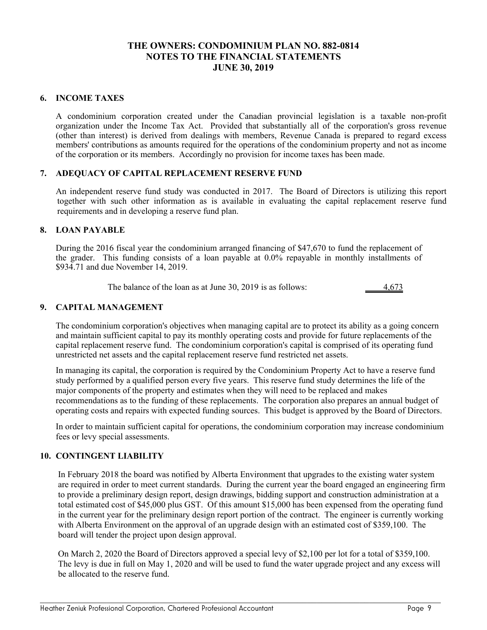### **6. INCOME TAXES**

A condominium corporation created under the Canadian provincial legislation is a taxable non-profit organization under the Income Tax Act. Provided that substantially all of the corporation's gross revenue (other than interest) is derived from dealings with members, Revenue Canada is prepared to regard excess members' contributions as amounts required for the operations of the condominium property and not as income of the corporation or its members. Accordingly no provision for income taxes has been made.

#### **7. ADEQUACY OF CAPITAL REPLACEMENT RESERVE FUND**

An independent reserve fund study was conducted in 2017. The Board of Directors is utilizing this report together with such other information as is available in evaluating the capital replacement reserve fund requirements and in developing a reserve fund plan.

### **8. LOAN PAYABLE**

During the 2016 fiscal year the condominium arranged financing of \$47,670 to fund the replacement of the grader. This funding consists of a loan payable at 0.0% repayable in monthly installments of \$934.71 and due November 14, 2019.

The balance of the loan as at June 30, 2019 is as follows: 4,673

### **9. CAPITAL MANAGEMENT**

The condominium corporation's objectives when managing capital are to protect its ability as a going concern and maintain sufficient capital to pay its monthly operating costs and provide for future replacements of the capital replacement reserve fund. The condominium corporation's capital is comprised of its operating fund unrestricted net assets and the capital replacement reserve fund restricted net assets.

In managing its capital, the corporation is required by the Condominium Property Act to have a reserve fund study performed by a qualified person every five years. This reserve fund study determines the life of the major components of the property and estimates when they will need to be replaced and makes recommendations as to the funding of these replacements. The corporation also prepares an annual budget of operating costs and repairs with expected funding sources. This budget is approved by the Board of Directors.

In order to maintain sufficient capital for operations, the condominium corporation may increase condominium fees or levy special assessments.

#### **10. CONTINGENT LIABILITY**

In February 2018 the board was notified by Alberta Environment that upgrades to the existing water system are required in order to meet current standards. During the current year the board engaged an engineering firm to provide a preliminary design report, design drawings, bidding support and construction administration at a total estimated cost of \$45,000 plus GST. Of this amount \$15,000 has been expensed from the operating fund in the current year for the preliminary design report portion of the contract. The engineer is currently working with Alberta Environment on the approval of an upgrade design with an estimated cost of \$359,100. The board will tender the project upon design approval.

On March 2, 2020 the Board of Directors approved a special levy of \$2,100 per lot for a total of \$359,100. The levy is due in full on May 1, 2020 and will be used to fund the water upgrade project and any excess will be allocated to the reserve fund.